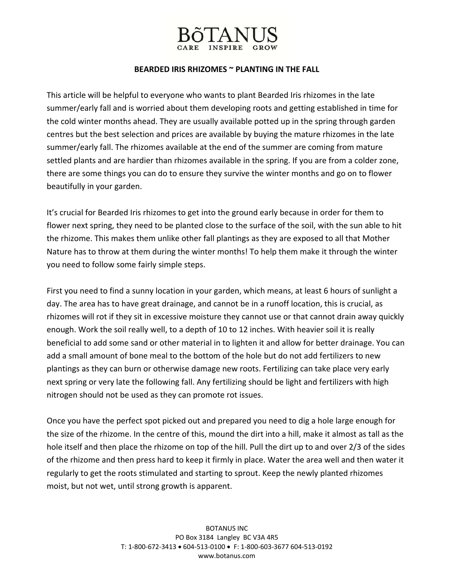### **BEARDED IRIS RHIZOMES ~ PLANTING IN THE FALL**

This article will be helpful to everyone who wants to plant Bearded Iris rhizomes in the late summer/early fall and is worried about them developing roots and getting established in time for the cold winter months ahead. They are usually available potted up in the spring through garden centres but the best selection and prices are available by buying the mature rhizomes in the late summer/early fall. The rhizomes available at the end of the summer are coming from mature settled plants and are hardier than rhizomes available in the spring. If you are from a colder zone, there are some things you can do to ensure they survive the winter months and go on to flower beautifully in your garden.

It's crucial for Bearded Iris rhizomes to get into the ground early because in order for them to flower next spring, they need to be planted close to the surface of the soil, with the sun able to hit the rhizome. This makes them unlike other fall plantings as they are exposed to all that Mother Nature has to throw at them during the winter months! To help them make it through the winter you need to follow some fairly simple steps.

First you need to find a sunny location in your garden, which means, at least 6 hours of sunlight a day. The area has to have great drainage, and cannot be in a runoff location, this is crucial, as rhizomes will rot if they sit in excessive moisture they cannot use or that cannot drain away quickly enough. Work the soil really well, to a depth of 10 to 12 inches. With heavier soil it is really beneficial to add some sand or other material in to lighten it and allow for better drainage. You can add a small amount of bone meal to the bottom of the hole but do not add fertilizers to new plantings as they can burn or otherwise damage new roots. Fertilizing can take place very early next spring or very late the following fall. Any fertilizing should be light and fertilizers with high nitrogen should not be used as they can promote rot issues.

Once you have the perfect spot picked out and prepared you need to dig a hole large enough for the size of the rhizome. In the centre of this, mound the dirt into a hill, make it almost as tall as the hole itself and then place the rhizome on top of the hill. Pull the dirt up to and over 2/3 of the sides of the rhizome and then press hard to keep it firmly in place. Water the area well and then water it regularly to get the roots stimulated and starting to sprout. Keep the newly planted rhizomes moist, but not wet, until strong growth is apparent.

> BOTANUS INC PO Box 3184 Langley BC V3A 4R5 T: 1‐800‐672‐3413 • 604‐513‐0100 • F: 1‐800‐603‐3677 604‐513‐0192 www.botanus.com